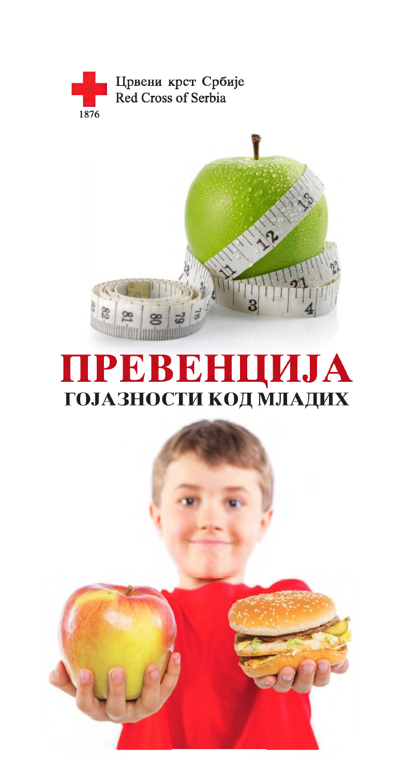



# ПРЕВЕНЦИЈА ГОЈАЗНОСТИ КОД МЛАДИХ